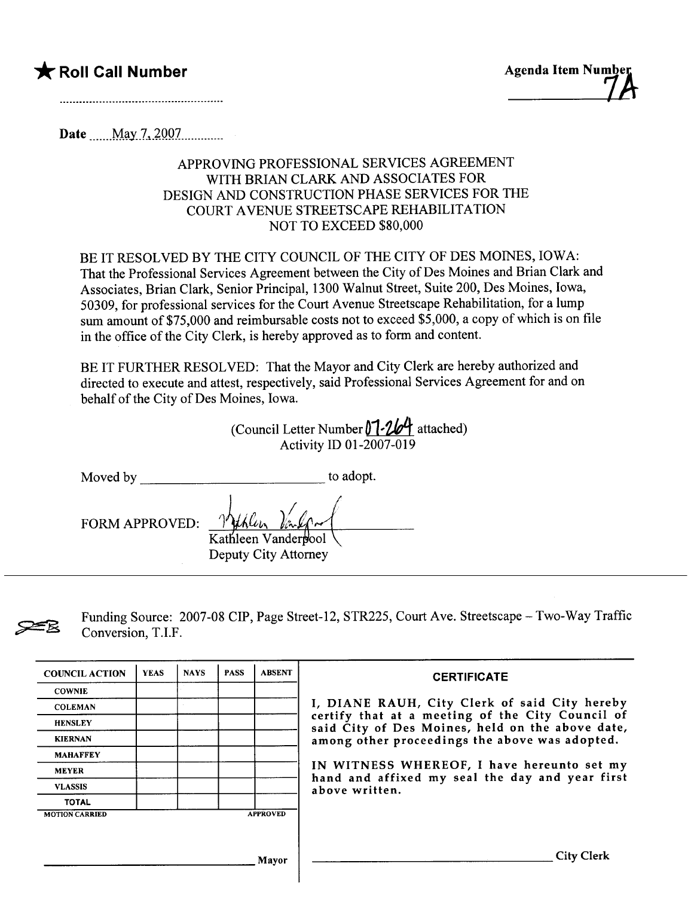## \* Roll Call Number Agenda Item Number

Date  $\text{May } 7, 2007$ 

## APPROVING PROFESSIONAL SERVICES AGREEMENT WITH BRIAN CLARK AND ASSOCIATES FOR DESIGN AND CONSTRUCTION PHASE SERVICES FOR THE COURT AVENUE STREETSCAPE REHABILITATION NOT TO EXCEED \$80,000

BE IT RESOLVED BY THE CITY COUNCIL OF THE CITY OF DES MOINES, IOWA: That the Professional Services Agreement between the City of Des Moines and Brian Clark and Associates, Brian Clark, Senior Principal, 1300 Walnut Street, Suite 200, Des Moines, Iowa, 50309, for professional services for the Cour Avenue Streetscape Rehabilitation, for a lump sum amount of \$75,000 and reimbursable costs not to exceed \$5,000, a copy of which is on file in the office of the City Clerk, is hereby approved as to form and content.

BE IT FURTHER RESOLVED: That the Mayor and City Clerk are hereby authorized and directed to execute and attest, respectively, said Professional Services Agreement for and on behalf of the City of Des Moines, Iowa.

| (Council Letter Number 07-264 attached) |  |
|-----------------------------------------|--|
| <b>Activity ID 01-2007-019</b>          |  |

| Moved by              | to adopt.                                                    |
|-----------------------|--------------------------------------------------------------|
| <b>FORM APPROVED:</b> | Withlen Valor<br>Kathleen Vanderpool<br>Deputy City Attorney |



Funding Source: 2007-08 CIP, Page Street-12, STR225, Court Ave. Streetscape - Two-Way Traffic Conversion, T.I.F.

| <b>COUNCIL ACTION</b> | <b>YEAS</b> | <b>NAYS</b> | <b>PASS</b> | <b>ABSENT</b>   | <b>CERTIFICATE</b>                                                                                                                                    |
|-----------------------|-------------|-------------|-------------|-----------------|-------------------------------------------------------------------------------------------------------------------------------------------------------|
| <b>COWNIE</b>         |             |             |             |                 |                                                                                                                                                       |
| <b>COLEMAN</b>        |             |             |             |                 | I, DIANE RAUH, City Clerk of said City hereby<br>certify that at a meeting of the City Council of<br>said City of Des Moines, held on the above date, |
| <b>HENSLEY</b>        |             |             |             |                 |                                                                                                                                                       |
| <b>KIERNAN</b>        |             |             |             |                 | among other proceedings the above was adopted.                                                                                                        |
| <b>MAHAFFEY</b>       |             |             |             |                 | IN WITNESS WHEREOF, I have hereunto set my                                                                                                            |
| <b>MEYER</b>          |             |             |             |                 |                                                                                                                                                       |
| <b>VLASSIS</b>        |             |             |             |                 | hand and affixed my seal the day and year first<br>above written.                                                                                     |
| <b>TOTAL</b>          |             |             |             |                 |                                                                                                                                                       |
| <b>MOTION CARRIED</b> |             |             |             | <b>APPROVED</b> |                                                                                                                                                       |
|                       |             |             |             |                 |                                                                                                                                                       |
|                       |             |             |             | Mayor           | City Clerk                                                                                                                                            |